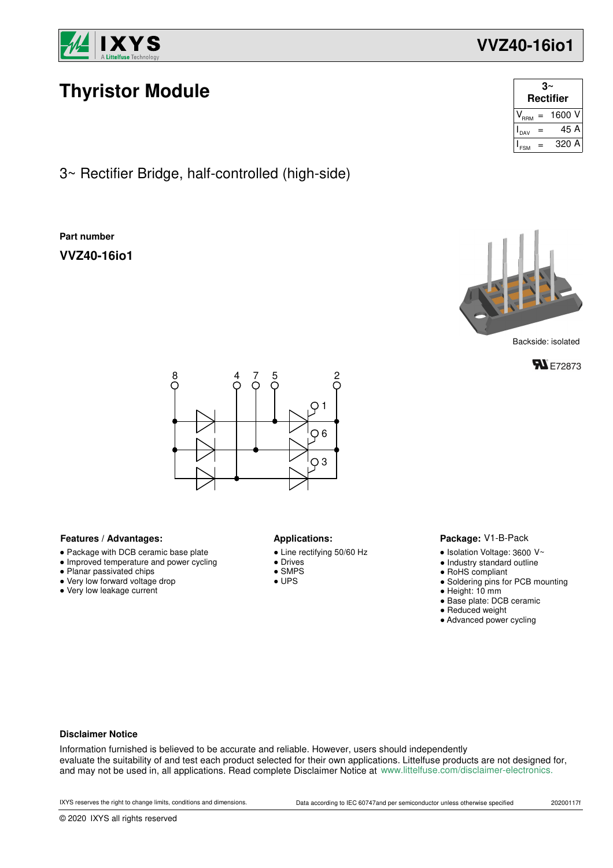

# **Thyristor Module**

3~ Rectifier Bridge, half-controlled (high-side)

### **Part number**

**VVZ40-16io1**



Backside: isolated





#### **Features / Advantages:** Applications:

- Package with DCB ceramic base plate
- Improved temperature and power cycling
- Planar passivated chips
- Very low forward voltage drop
- Very low leakage current

- Line rectifying 50/60 Hz
- Drives
- $\overline{\phantom{a}}$  SMPS
- UPS

#### Package: V1-B-Pack

- $\bullet$  Isolation Voltage: 3600 V~
- Industry standard outline
- RoHS compliant
- Soldering pins for PCB mounting
- Height: 10 mm
- Base plate: DCB ceramic
- Reduced weight
- Advanced power cycling

#### **Disclaimer Notice**

Information furnished is believed to be accurate and reliable. However, users should independently evaluate the suitability of and test each product selected for their own applications. Littelfuse products are not designed for, and may not be used in, all applications. Read complete Disclaimer Notice at www.littelfuse.com/disclaimer-electronics.

## **VVZ40-16io1**

DAV =  $=$ 

 $V^{\rm}_{\rm RRM}$  = 1600 V  $I_{\text{nav}} = 45 \text{ A}$  $_{FSM}$  = 320 A

**3~ Rectifier**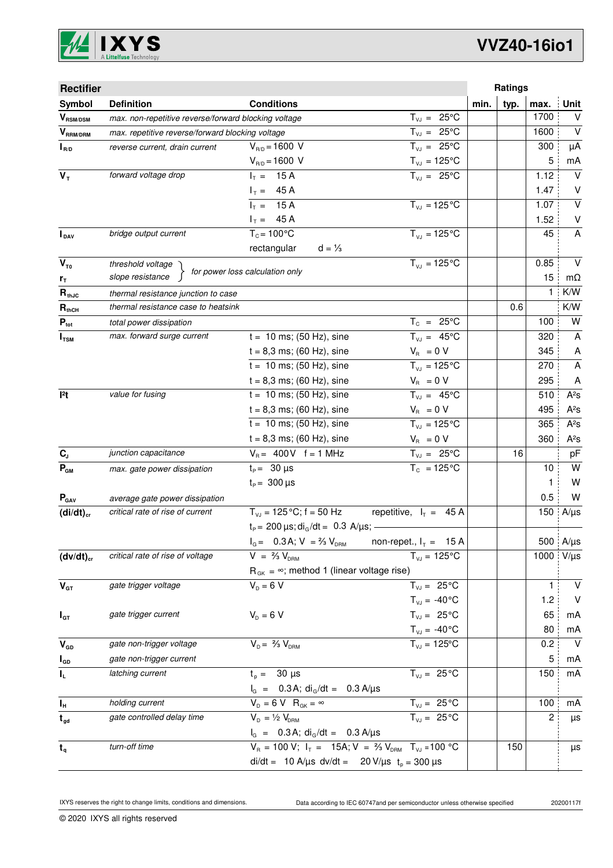

| <b>Rectifier</b>          |                                                                                             |                                                              |                                |              | Ratings |                           |  |
|---------------------------|---------------------------------------------------------------------------------------------|--------------------------------------------------------------|--------------------------------|--------------|---------|---------------------------|--|
| Symbol                    | <b>Definition</b>                                                                           | <b>Conditions</b>                                            |                                | typ.<br>min. | max.    | Unit                      |  |
| $V_{\text{RSM/DSM}}$      | max. non-repetitive reverse/forward blocking voltage                                        |                                                              | $T_{VJ} = 25^{\circ}C$         |              | 1700    | V                         |  |
| $V_{\tiny\text{RRM/DRM}}$ | max. repetitive reverse/forward blocking voltage                                            |                                                              | $T_{VJ} = 25^{\circ}C$         |              | 1600    | $\vee$                    |  |
| $I_{R/D}$                 | reverse current, drain current                                                              | $V_{R/D} = 1600 V$                                           | $T_{VJ} = 25^{\circ}C$         |              | 300     | μA                        |  |
|                           |                                                                                             | $V_{R/D} = 1600 V$                                           | $T_{\nu J} = 125$ °C           |              | 5       | mA                        |  |
| $V_T$                     | forward voltage drop                                                                        | $I_T = 15 A$                                                 | $T_{VJ} = 25^{\circ}C$         |              | 1.12    | $\vee$                    |  |
|                           |                                                                                             | $I_T = 45 A$                                                 |                                |              | 1.47    | V                         |  |
|                           |                                                                                             | $I_T = 15 A$                                                 | $T_{VJ} = 125$ °C              |              | 1.07    | $\vee$                    |  |
|                           |                                                                                             | $I_T = 45 A$                                                 |                                |              | 1.52    | $\sf V$                   |  |
| $I_{\text{DAV}}$          | bridge output current                                                                       | $T_c = 100^{\circ}$ C                                        | $T_{V1} = 125^{\circ}C$        |              | 45      | $\boldsymbol{\mathsf{A}}$ |  |
|                           |                                                                                             | rectangular<br>$d = \frac{1}{3}$                             |                                |              |         |                           |  |
| $V_{T0}$                  | threshold voltage                                                                           | for power loss calculation only                              | $T_{V,1} = 125^{\circ}C$       |              | 0.85    | $\vee$                    |  |
| r <sub>T</sub>            | slope resistance                                                                            |                                                              |                                |              | 15      | mΩ                        |  |
| $R_{thJC}$                | thermal resistance junction to case                                                         |                                                              |                                |              | 1       | K/W                       |  |
| $R_{thCH}$                | thermal resistance case to heatsink                                                         |                                                              |                                |              | 0.6     | K/W                       |  |
| $P_{\text{tot}}$          | total power dissipation                                                                     |                                                              | $T_c = 25^{\circ}C$            |              | 100     | W                         |  |
| $I_{\texttt{TSM}}$        | max. forward surge current                                                                  | $t = 10$ ms; (50 Hz), sine                                   | $T_{VJ} = 45^{\circ}C$         |              | 320     | A                         |  |
|                           |                                                                                             | $t = 8,3$ ms; (60 Hz), sine                                  | $V_{\rm R} = 0 V$              |              | 345     | A                         |  |
|                           |                                                                                             | $t = 10$ ms; (50 Hz), sine                                   | $\overline{T}_{vJ}$ = 125°C    |              | 270     | A                         |  |
|                           |                                                                                             | $t = 8,3$ ms; (60 Hz), sine                                  | $V_{\rm R} = 0 V$              |              | 295     | A                         |  |
| $ ^{2}t$                  | value for fusing                                                                            | $t = 10$ ms; (50 Hz), sine                                   | $T_{VJ} = 45^{\circ}C$         |              | 510     | $A^2S$                    |  |
|                           |                                                                                             | $t = 8,3$ ms; (60 Hz), sine                                  | $V_{\rm R} = 0 V$              |              | 495     | $A^2S$                    |  |
|                           |                                                                                             | $t = 10$ ms; (50 Hz), sine                                   | $T_{VJ} = 125$ °C              |              | 365     | $A^2S$                    |  |
|                           |                                                                                             | $t = 8,3$ ms; (60 Hz), sine                                  | $V_{\rm R} = 0 V$              |              | 360     | $A^2S$                    |  |
| $\mathbf{C}_\text{J}$     | junction capacitance                                                                        | $V_B = 400V$ f = 1 MHz                                       | $T_{VJ} = 25^{\circ}C$         |              | 16      | pF                        |  |
| $P_{GM}$                  | max. gate power dissipation                                                                 | $t_P = 30 \mu s$                                             | $T_c = 125^{\circ}C$           |              | 10      | W                         |  |
|                           |                                                                                             | $t_{p} = 300 \,\mu s$                                        |                                |              | 1       | W                         |  |
| $P_{\text{GAV}}$          | average gate power dissipation                                                              |                                                              |                                |              | 0.5     | W                         |  |
| $(di/dt)_{cr}$            | critical rate of rise of current                                                            | $T_{VJ}$ = 125 °C; f = 50 Hz                                 | repetitive, $I_T = 45 A$       |              | 150     | $A/\mu s$                 |  |
|                           |                                                                                             | $t_P$ = 200 $\mu$ s; di <sub>G</sub> /dt = 0.3 A/ $\mu$ s; - |                                |              |         |                           |  |
|                           |                                                                                             | $I_G = 0.3A; V = \frac{2}{3}V_{DRM}$ non-repet., $I_T = 15A$ |                                |              |         | 500 $A/\mu s$             |  |
| $(dv/dt)_{cr}$            | critical rate of rise of voltage                                                            | $V = \frac{2}{3} V_{DBM}$                                    | $T_{VJ} = 125^{\circ}C$        |              | 1000    | $V/\mu s$                 |  |
|                           |                                                                                             | $R_{GK} = \infty$ ; method 1 (linear voltage rise)           |                                |              |         |                           |  |
| $V_{GT}$                  | gate trigger voltage                                                                        | $V_p = 6 V$                                                  | $T_{VJ} = 25^{\circ}C$         |              | 1       | V                         |  |
|                           |                                                                                             |                                                              | $T_{VJ} = -40$ °C              |              | 1.2     | $\vee$                    |  |
| $I_{GT}$                  | gate trigger current                                                                        | $V_{D} = 6 V$                                                | $T_{VJ} = 25^{\circ}C$         |              | 65      | mA                        |  |
|                           |                                                                                             |                                                              | $T_{\text{VJ}} = -40^{\circ}C$ |              | 80      | mA                        |  |
| $V_{GD}$                  | gate non-trigger voltage                                                                    | $V_{D} = \frac{2}{3} V_{DBM}$                                | $T_{VJ} = 125$ °C              |              | 0.2     | $\vee$                    |  |
| $I_{GD}$                  | gate non-trigger current                                                                    |                                                              |                                |              | 5       | mA                        |  |
| $\mathbf{l}_\mathsf{L}$   | latching current                                                                            | $t_p = 30 \mu s$                                             | $T_{VJ} = 25^{\circ}C$         |              | 150     | mA                        |  |
|                           |                                                                                             | $I_G$ = 0.3 A; di <sub>G</sub> /dt = 0.3 A/ $\mu$ s          |                                |              |         |                           |  |
| $I_{\rm H}$               | holding current                                                                             | $V_D = 6 V R_{GK} = \infty$                                  | $T_{VJ} = 25\overline{C}$      |              | 100     | mA                        |  |
| $t_{gd}$                  | gate controlled delay time                                                                  | $V_{D} = \frac{1}{2} V_{DBM}$                                | $T_{VJ} = 25^{\circ}C$         |              | 2       | μs                        |  |
|                           |                                                                                             | $I_G = 0.3 A$ ; di <sub>G</sub> /dt = 0.3 A/µs               |                                |              |         |                           |  |
| $t_{q}$                   | $V_R = 100 V; I_T = 15A; V = \frac{2}{3} V_{DRM}$ T <sub>VJ</sub> = 100 °C<br>turn-off time |                                                              |                                |              | 150     | μs                        |  |
|                           |                                                                                             | di/dt = 10 A/µs dv/dt = 20 V/µs $t_p = 300 \mu s$            |                                |              |         |                           |  |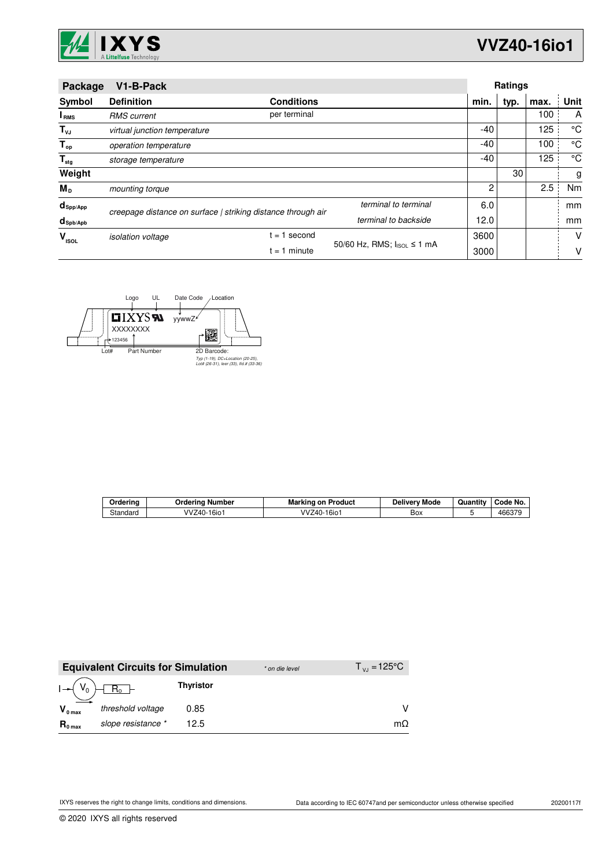

| Package                         | V1-B-Pack                                                    |                   |                            |       | <b>Ratings</b> |      |      |  |
|---------------------------------|--------------------------------------------------------------|-------------------|----------------------------|-------|----------------|------|------|--|
| Symbol                          | <b>Definition</b>                                            | <b>Conditions</b> |                            | min.  | typ.           | max. | Unit |  |
| <b>I</b> <sub>RMS</sub>         | <b>RMS</b> current                                           | per terminal      |                            |       |                | 100  | A    |  |
| $T_{\nu J}$                     | virtual junction temperature                                 |                   |                            | $-40$ |                | 125  | °C   |  |
| $T_{op}$                        | operation temperature                                        |                   |                            | $-40$ |                | 100  | °C   |  |
| $T_{\text{stg}}$                | storage temperature                                          |                   |                            | -40   |                | 125  | °C   |  |
| Weight                          |                                                              |                   |                            |       | 30             |      | g    |  |
| М <sub>р</sub>                  | mounting torque                                              |                   |                            | 2     |                | 2.5  | Nm   |  |
| $d_{\mathsf{Spp/App}}$          | terminal to terminal                                         |                   |                            | 6.0   |                |      | mm   |  |
| $d_{\mathsf{Spb}/\mathsf{Apb}}$ | creepage distance on surface   striking distance through air |                   | terminal to backside       | 12.0  |                |      | mm   |  |
| v<br><b>ISOL</b>                | $= 1$<br><i>isolation</i> voltage                            | second            |                            | 3600  |                |      | v    |  |
|                                 |                                                              | = 1 minute        | 50/60 Hz, RMS; IsoL ≤ 1 mA | 3000  |                |      | v    |  |



| Orderina | Number<br>Jrderina     | on Product<br>Markino     | Mode<br>Deliverv | $ -$<br>Quantity | Code No.         |
|----------|------------------------|---------------------------|------------------|------------------|------------------|
| Standard | /Z40-16io <sup>-</sup> | $16i$ o<br>vv<br>$(4() -$ | Box              |                  | 166270<br>466375 |

|                     | <b>Equivalent Circuits for Simulation</b> |                  | * on die level | $T_{V1} = 125^{\circ}C$ |
|---------------------|-------------------------------------------|------------------|----------------|-------------------------|
|                     | $I \rightarrow (V_0) \boxed{R_0}$         | <b>Thyristor</b> |                |                         |
| $V_{0 \text{ max}}$ | threshold voltage                         | 0.85             |                |                         |
| $R_{0 \text{ max}}$ | slope resistance *                        | 12.5             |                | $m\Omega$               |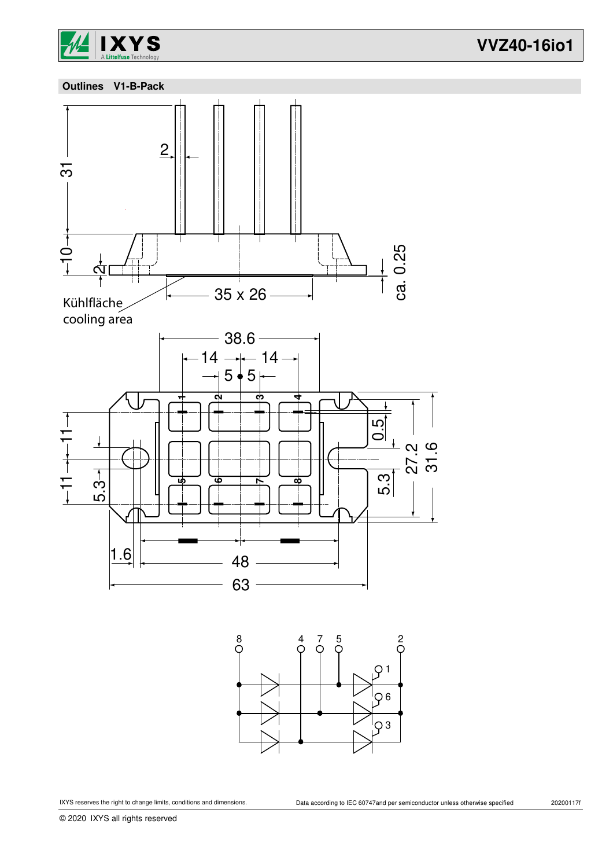

**VVZ40-16io1**



8 4 7 5 2  $Q<sub>1</sub>$ O 6  $\overline{O}3$